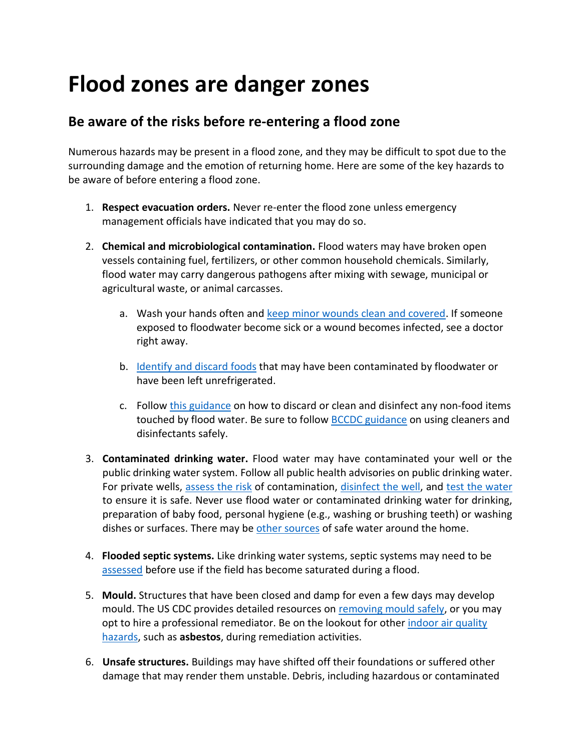## **Flood zones are danger zones**

## **Be aware of the risks before re-entering a flood zone**

Numerous hazards may be present in a flood zone, and they may be difficult to spot due to the surrounding damage and the emotion of returning home. Here are some of the key hazards to be aware of before entering a flood zone.

- 1. **Respect evacuation orders.** Never re-enter the flood zone unless emergency management officials have indicated that you may do so.
- 2. **Chemical and microbiological contamination.** Flood waters may have broken open vessels containing fuel, fertilizers, or other common household chemicals. Similarly, flood water may carry dangerous pathogens after mixing with sewage, municipal or agricultural waste, or animal carcasses.
	- a. Wash your hands often and [keep minor wounds clean and covered.](https://www.cdc.gov/healthywater/emergency/hygiene-handwashing-diapering/handwashing-and-hygiene-during-emergencies.html) If someone exposed to floodwater become sick or a wound becomes infected, see a doctor right away.
	- b. Identify [and discard foods](https://www.healthlinkbc.ca/healthlinkbc-files/clean-after-flood) that may have been contaminated by floodwater or have been left unrefrigerated.
	- c. Follow [this guidance](https://www.healthlinkbc.ca/healthlinkbc-files/clean-after-flood) on how to discard or clean and disinfect any non-food items touched by flood water. Be sure to follow [BCCDC guidance](http://www.bccdc.ca/health-info/diseases-conditions/covid-19/prevention-risks/cleaning-and-disinfecting) on using cleaners and disinfectants safely.
- 3. **Contaminated drinking water.** Flood water may have contaminated your well or the public drinking water system. Follow all public health advisories on public drinking water. For private wells, [assess the risk](https://www.fraserhealth.ca/-/media/Project/FraserHealth/FraserHealth/Health-Topics/Drinking-water/201706_Floodwatch_Tips_Private_Drinking_Water_Supplies.pdf?rev=fcdef34faf3f404b80db0b64cfab19f9) of contamination, [disinfect the well,](https://www2.gov.bc.ca/assets/gov/environment/air-land-water/water/water-wells/bc_gov_5402_water_well_disinfection_webbrochure.pdf) and [test the water](https://www.healthlinkbc.ca/healthlinkbc-files/well-water-testing) to ensure it is safe. Never use flood water or contaminated drinking water for drinking, preparation of baby food, personal hygiene (e.g., washing or brushing teeth) or washing dishes or surfaces. There may be [other sources](https://www.cdc.gov/disasters/foodwater/safe-water.html) of safe water around the home.
- 4. **Flooded septic systems.** Like drinking water systems, septic systems may need to be [assessed](https://www2.gov.bc.ca/assets/gov/health/keeping-bc-healthy-safe/health-emergency-response/sewage_systems_and_flooding.pdf) before use if the field has become saturated during a flood.
- 5. **Mould.** Structures that have been closed and damp for even a few days may develop mould. The US CDC provides detailed resources on [removing mould safely,](https://www.cdc.gov/mold/cleanup.htm) or you may opt to hire a professional remediator. Be on the lookout for other *indoor air quality* [hazards,](https://www.healthlinkbc.ca/healthlinkbc-files/indoor-air-quality) such as **asbestos**, during remediation activities.
- 6. **Unsafe structures.** Buildings may have shifted off their foundations or suffered other damage that may render them unstable. Debris, including hazardous or contaminated